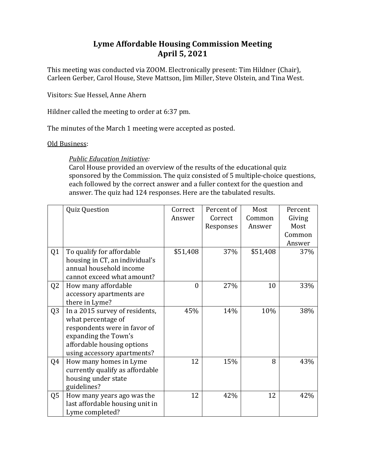## **Lyme Affordable Housing Commission Meeting April 5, 2021**

This meeting was conducted via ZOOM. Electronically present: Tim Hildner (Chair), Carleen Gerber, Carol House, Steve Mattson, Jim Miller, Steve Olstein, and Tina West.

Visitors: Sue Hessel, Anne Ahern

Hildner called the meeting to order at  $6:37$  pm.

The minutes of the March 1 meeting were accepted as posted.

## Old Business:

**Public Education Initiative:** 

Carol House provided an overview of the results of the educational quiz sponsored by the Commission. The quiz consisted of 5 multiple-choice questions, each followed by the correct answer and a fuller context for the question and answer. The quiz had 124 responses. Here are the tabulated results.

|                | <b>Quiz Question</b>            | Correct  | Percent of | Most     | Percent |
|----------------|---------------------------------|----------|------------|----------|---------|
|                |                                 | Answer   | Correct    | Common   | Giving  |
|                |                                 |          | Responses  | Answer   | Most    |
|                |                                 |          |            |          | Common  |
|                |                                 |          |            |          | Answer  |
| Q <sub>1</sub> | To qualify for affordable       | \$51,408 | 37%        | \$51,408 | 37%     |
|                | housing in CT, an individual's  |          |            |          |         |
|                | annual household income         |          |            |          |         |
|                | cannot exceed what amount?      |          |            |          |         |
| Q <sub>2</sub> | How many affordable             | $\theta$ | 27%        | 10       | 33%     |
|                | accessory apartments are        |          |            |          |         |
|                | there in Lyme?                  |          |            |          |         |
| Q <sub>3</sub> | In a 2015 survey of residents,  | 45%      | 14%        | 10%      | 38%     |
|                | what percentage of              |          |            |          |         |
|                | respondents were in favor of    |          |            |          |         |
|                | expanding the Town's            |          |            |          |         |
|                | affordable housing options      |          |            |          |         |
|                | using accessory apartments?     |          |            |          |         |
| Q4             | How many homes in Lyme          | 12       | 15%        | 8        | 43%     |
|                | currently qualify as affordable |          |            |          |         |
|                | housing under state             |          |            |          |         |
|                | guidelines?                     |          |            |          |         |
| Q <sub>5</sub> | How many years ago was the      | 12       | 42%        | 12       | 42%     |
|                | last affordable housing unit in |          |            |          |         |
|                | Lyme completed?                 |          |            |          |         |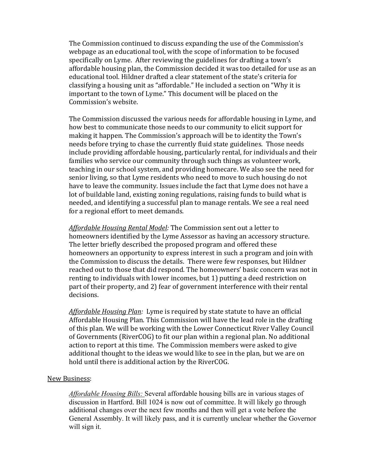The Commission continued to discuss expanding the use of the Commission's webpage as an educational tool, with the scope of information to be focused specifically on Lyme. After reviewing the guidelines for drafting a town's affordable housing plan, the Commission decided it was too detailed for use as an educational tool. Hildner drafted a clear statement of the state's criteria for classifying a housing unit as "affordable." He included a section on "Why it is important to the town of Lyme." This document will be placed on the Commission's website.

The Commission discussed the various needs for affordable housing in Lyme, and how best to communicate those needs to our community to elicit support for making it happen. The Commission's approach will be to identity the Town's needs before trying to chase the currently fluid state guidelines. Those needs include providing affordable housing, particularly rental, for individuals and their families who service our community through such things as volunteer work, teaching in our school system, and providing homecare. We also see the need for senior living, so that Lyme residents who need to move to such housing do not have to leave the community. Issues include the fact that Lyme does not have a lot of buildable land, existing zoning regulations, raising funds to build what is needed, and identifying a successful plan to manage rentals. We see a real need for a regional effort to meet demands.

Affordable Housing Rental Model: The Commission sent out a letter to homeowners identified by the Lyme Assessor as having an accessory structure. The letter briefly described the proposed program and offered these homeowners an opportunity to express interest in such a program and join with the Commission to discuss the details. There were few responses, but Hildner reached out to those that did respond. The homeowners' basic concern was not in renting to individuals with lower incomes, but 1) putting a deed restriction on part of their property, and 2) fear of government interference with their rental decisions. 

*Affordable Housing Plan:* Lyme is required by state statute to have an official Affordable Housing Plan. This Commission will have the lead role in the drafting of this plan. We will be working with the Lower Connecticut River Valley Council of Governments (RiverCOG) to fit our plan within a regional plan. No additional action to report at this time. The Commission members were asked to give additional thought to the ideas we would like to see in the plan, but we are on hold until there is additional action by the RiverCOG.

## New Business:

*Affordable Housing Bills:* Several affordable housing bills are in various stages of discussion in Hartford. Bill 1024 is now out of committee. It will likely go through additional changes over the next few months and then will get a vote before the General Assembly. It will likely pass, and it is currently unclear whether the Governor will sign it.